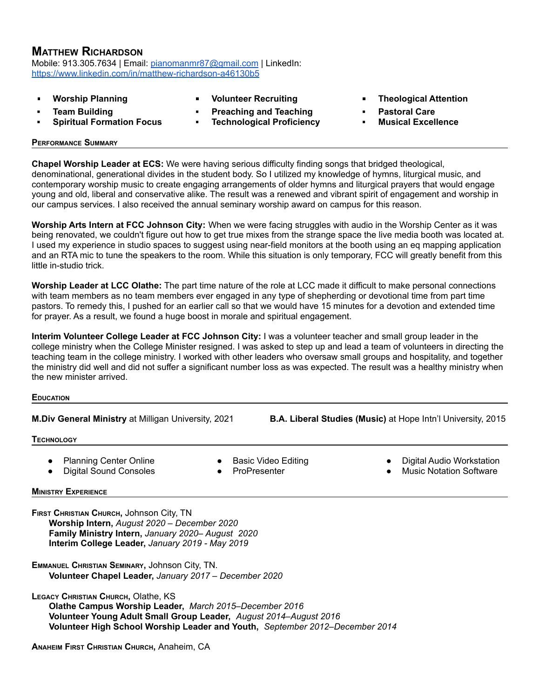# **MATTHEW RICHARDSON**

Mobile: 913.305.7634 | Email: [pianomanmr87@gmail.com](mailto:pianomanmr87@gmail.com) | LinkedIn: <https://www.linkedin.com/in/matthew-richardson-a46130b5>

- **Worship Planning**
- **▪ Team Building**
- **▪ Spiritual Formation Focus**
- **Volunteer Recruiting**
- **▪ Preaching and Teaching**
- **▪ Technological Proficiency**
- **Theological Attention**
- **▪ Pastoral Care**
- **▪ Musical Excellence**

## **PERFORMANCE SUMMARY**

**Chapel Worship Leader at ECS:** We were having serious difficulty finding songs that bridged theological, denominational, generational divides in the student body. So I utilized my knowledge of hymns, liturgical music, and contemporary worship music to create engaging arrangements of older hymns and liturgical prayers that would engage young and old, liberal and conservative alike. The result was a renewed and vibrant spirit of engagement and worship in our campus services. I also received the annual seminary worship award on campus for this reason.

**Worship Arts Intern at FCC Johnson City:** When we were facing struggles with audio in the Worship Center as it was being renovated, we couldn't figure out how to get true mixes from the strange space the live media booth was located at. I used my experience in studio spaces to suggest using near-field monitors at the booth using an eq mapping application and an RTA mic to tune the speakers to the room. While this situation is only temporary, FCC will greatly benefit from this little in-studio trick.

**Worship Leader at LCC Olathe:** The part time nature of the role at LCC made it difficult to make personal connections with team members as no team members ever engaged in any type of shepherding or devotional time from part time pastors. To remedy this, I pushed for an earlier call so that we would have 15 minutes for a devotion and extended time for prayer. As a result, we found a huge boost in morale and spiritual engagement.

**Interim Volunteer College Leader at FCC Johnson City:** I was a volunteer teacher and small group leader in the college ministry when the College Minister resigned. I was asked to step up and lead a team of volunteers in directing the teaching team in the college ministry. I worked with other leaders who oversaw small groups and hospitality, and together the ministry did well and did not suffer a significant number loss as was expected. The result was a healthy ministry when the new minister arrived.

## **EDUCATION**

**M.Div General Ministry** at Milligan University, 2021 **B.A. Liberal Studies (Music)** at Hope Intn'l University, 2015

## **TECHNOLOGY**

- **Planning Center Online**
- **Basic Video Editing**
- Digital Sound Consoles
- ProPresenter
- **Digital Audio Workstation**
- **Music Notation Software**

## **MINISTRY EXPERIENCE**

**FIRST CHRISTIAN CHURCH,** Johnson City, TN **Worship Intern,** *August 2020 – December 2020* **Family Ministry Intern,** *January 2020– August 2020* **Interim College Leader,** *January 2019 - May 2019*

**EMMANUEL CHRISTIAN SEMINARY,** Johnson City, TN. **Volunteer Chapel Leader,** *January 2017 – December 2020*

**LEGACY CHRISTIAN CHURCH,** Olathe, KS

**Olathe Campus Worship Leader,** *March 2015–December 2016* **Volunteer Young Adult Small Group Leader,** *August 2014–August 2016* **Volunteer High School Worship Leader and Youth,** *September 2012–December 2014*